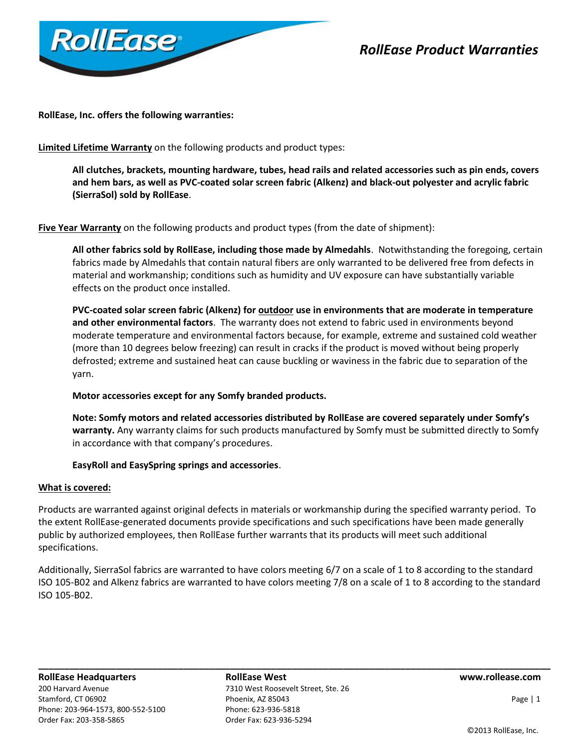

# *RollEase Product Warranties*

**RollEase, Inc. offers the following warranties:**

**Limited Lifetime Warranty** on the following products and product types:

**All clutches, brackets, mounting hardware, tubes, head rails and related accessories such as pin ends, covers and hem bars, as well as PVC-coated solar screen fabric (Alkenz) and black-out polyester and acrylic fabric (SierraSol) sold by RollEase**.

Five Year Warranty on the following products and product types (from the date of shipment):

**All other fabrics sold by RollEase, including those made by Almedahls**. Notwithstanding the foregoing, certain fabrics made by Almedahls that contain natural fibers are only warranted to be delivered free from defects in material and workmanship; conditions such as humidity and UV exposure can have substantially variable effects on the product once installed.

**PVC-coated solar screen fabric (Alkenz) for outdoor use in environments that are moderate in temperature and other environmental factors**. The warranty does not extend to fabric used in environments beyond moderate temperature and environmental factors because, for example, extreme and sustained cold weather (more than 10 degrees below freezing) can result in cracks if the product is moved without being properly defrosted; extreme and sustained heat can cause buckling or waviness in the fabric due to separation of the yarn.

# **Motor accessories except for any Somfy branded products.**

**Note: Somfy motors and related accessories distributed by RollEase are covered separately under Somfy's warranty.** Any warranty claims for such products manufactured by Somfy must be submitted directly to Somfy in accordance with that company's procedures.

# **EasyRoll and EasySpring springs and accessories**.

### **What is covered:**

Products are warranted against original defects in materials or workmanship during the specified warranty period. To the extent RollEase-generated documents provide specifications and such specifications have been made generally public by authorized employees, then RollEase further warrants that its products will meet such additional specifications.

Additionally, SierraSol fabrics are warranted to have colors meeting 6/7 on a scale of 1 to 8 according to the standard ISO 105-B02 and Alkenz fabrics are warranted to have colors meeting 7/8 on a scale of 1 to 8 according to the standard ISO 105-B02.

**RollEase Headquarters RollEase West www.rollease.com** 200 Harvard Avenue 7310 West Roosevelt Street, Ste. 26 Stamford, CT 06902 **Phoenix, AZ 85043** Phoenix, AZ 85043 **Page | 1** Phone: 203-964-1573, 800-552-5100 Phone: 623-936-5818 Order Fax: 203-358-5865 Order Fax: 623-936-5294

**\_\_\_\_\_\_\_\_\_\_\_\_\_\_\_\_\_\_\_\_\_\_\_\_\_\_\_\_\_\_\_\_\_\_\_\_\_\_\_\_\_\_\_\_\_\_\_\_\_\_\_\_\_\_\_\_\_\_\_\_\_\_\_\_\_\_\_\_\_\_\_\_\_\_\_\_\_\_\_\_\_\_\_\_\_\_\_\_\_\_\_\_\_\_\_\_\_\_\_**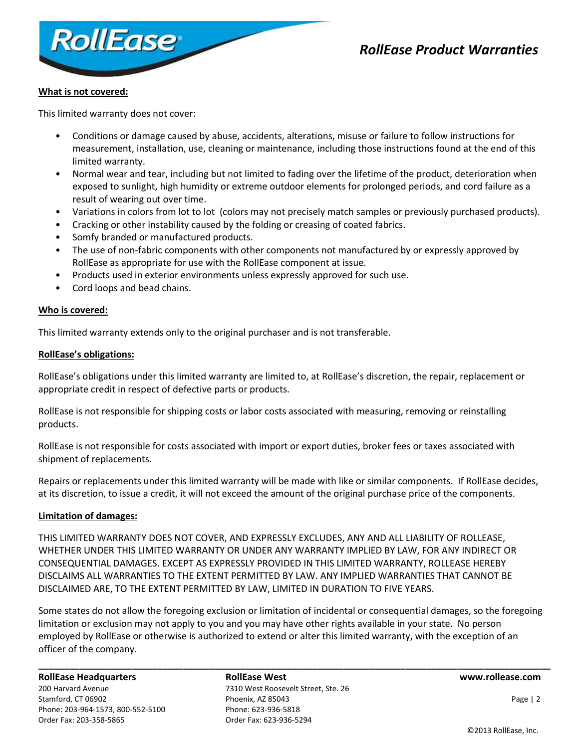

# *RollEase Product Warranties*

# **What is not covered:**

This limited warranty does not cover:

- Conditions or damage caused by abuse, accidents, alterations, misuse or failure to follow instructions for measurement, installation, use, cleaning or maintenance, including those instructions found at the end of this limited warranty.
- Normal wear and tear, including but not limited to fading over the lifetime of the product, deterioration when exposed to sunlight, high humidity or extreme outdoor elements for prolonged periods, and cord failure as a result of wearing out over time.
- Variations in colors from lot to lot (colors may not precisely match samples or previously purchased products).
- Cracking or other instability caused by the folding or creasing of coated fabrics.
- Somfy branded or manufactured products.
- The use of non-fabric components with other components not manufactured by or expressly approved by RollEase as appropriate for use with the RollEase component at issue.
- Products used in exterior environments unless expressly approved for such use.
- Cord loops and bead chains.

## **Who is covered:**

This limited warranty extends only to the original purchaser and is not transferable.

### **RollEase's obligations:**

RollEase's obligations under this limited warranty are limited to, at RollEase's discretion, the repair, replacement or appropriate credit in respect of defective parts or products.

RollEase is not responsible for shipping costs or labor costs associated with measuring, removing or reinstalling products.

RollEase is not responsible for costs associated with import or export duties, broker fees or taxes associated with shipment of replacements.

Repairs or replacements under this limited warranty will be made with like or similar components. If RollEase decides, at its discretion, to issue a credit, it will not exceed the amount of the original purchase price of the components.

### **Limitation of damages:**

THIS LIMITED WARRANTY DOES NOT COVER, AND EXPRESSLY EXCLUDES, ANY AND ALL LIABILITY OF ROLLEASE, WHETHER UNDER THIS LIMITED WARRANTY OR UNDER ANY WARRANTY IMPLIED BY LAW, FOR ANY INDIRECT OR CONSEQUENTIAL DAMAGES. EXCEPT AS EXPRESSLY PROVIDED IN THIS LIMITED WARRANTY, ROLLEASE HEREBY DISCLAIMS ALL WARRANTIES TO THE EXTENT PERMITTED BY LAW. ANY IMPLIED WARRANTIES THAT CANNOT BE DISCLAIMED ARE, TO THE EXTENT PERMITTED BY LAW, LIMITED IN DURATION TO FIVE YEARS.

Some states do not allow the foregoing exclusion or limitation of incidental or consequential damages, so the foregoing limitation or exclusion may not apply to you and you may have other rights available in your state. No person employed by RollEase or otherwise is authorized to extend or alter this limited warranty, with the exception of an officer of the company.

**\_\_\_\_\_\_\_\_\_\_\_\_\_\_\_\_\_\_\_\_\_\_\_\_\_\_\_\_\_\_\_\_\_\_\_\_\_\_\_\_\_\_\_\_\_\_\_\_\_\_\_\_\_\_\_\_\_\_\_\_\_\_\_\_\_\_\_\_\_\_\_\_\_\_\_\_\_\_\_\_\_\_\_\_\_\_\_\_\_\_\_\_\_\_\_\_\_\_\_**

### **RollEase Headquarters RollEase West www.rollease.com**

200 Harvard Avenue 7310 West Roosevelt Street, Ste. 26 Stamford, CT 06902 **Phoenix, AZ 85043** Phoenix, AZ 85043 **Page | 2** Page | 2 Phone: 203-964-1573, 800-552-5100 Phone: 623-936-5818 Order Fax: 203-358-5865 Order Fax: 623-936-5294